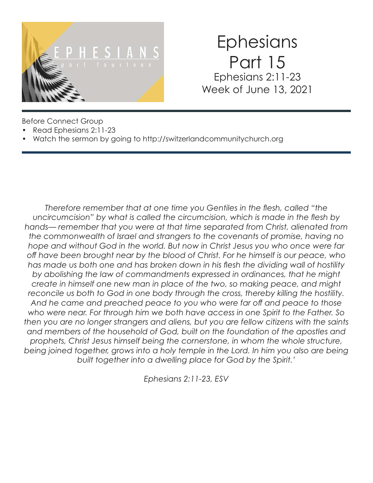

# **Ephesians** Part 15 Ephesians 2:11-23 Week of June 13, 2021

Before Connect Group

- Read Ephesians 2:11-23
- Watch the sermon by going to http://switzerlandcommunitychurch.org

*Therefore remember that at one time you Gentiles in the flesh, called "the uncircumcision" by what is called the circumcision, which is made in the flesh by hands— remember that you were at that time separated from Christ, alienated from the commonwealth of Israel and strangers to the covenants of promise, having no hope and without God in the world. But now in Christ Jesus you who once were far off have been brought near by the blood of Christ. For he himself is our peace, who has made us both one and has broken down in his flesh the dividing wall of hostility by abolishing the law of commandments expressed in ordinances, that he might create in himself one new man in place of the two, so making peace, and might reconcile us both to God in one body through the cross, thereby killing the hostility. And he came and preached peace to you who were far off and peace to those who were near. For through him we both have access in one Spirit to the Father. So then you are no longer strangers and aliens, but you are fellow citizens with the saints and members of the household of God, built on the foundation of the apostles and prophets, Christ Jesus himself being the cornerstone, in whom the whole structure, being joined together, grows into a holy temple in the Lord. In him you also are being built together into a dwelling place for God by the Spirit.'*

*Ephesians 2:11-23, ESV*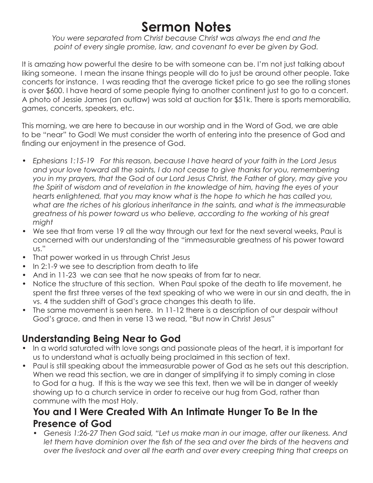## **Sermon Notes**

*You were separated from Christ because Christ was always the end and the point of every single promise, law, and covenant to ever be given by God.*

It is amazing how powerful the desire to be with someone can be. I'm not just talking about liking someone. I mean the insane things people will do to just be around other people. Take concerts for instance. I was reading that the average ticket price to go see the rolling stones is over \$600. I have heard of some people flying to another continent just to go to a concert. A photo of Jessie James (an outlaw) was sold at auction for \$51k. There is sports memorabilia, games, concerts, speakers, etc.

This morning, we are here to because in our worship and in the Word of God, we are able to be "near" to God! We must consider the worth of entering into the presence of God and finding our enjoyment in the presence of God.

- *Ephesians 1:15-19 For this reason, because I have heard of your faith in the Lord Jesus and your love toward all the saints, I do not cease to give thanks for you, remembering you in my prayers, that the God of our Lord Jesus Christ, the Father of glory, may give you the Spirit of wisdom and of revelation in the knowledge of him, having the eyes of your hearts enlightened, that you may know what is the hope to which he has called you, what are the riches of his glorious inheritance in the saints, and what is the immeasurable greatness of his power toward us who believe, according to the working of his great might*
- We see that from verse 19 all the way through our text for the next several weeks, Paul is concerned with our understanding of the "immeasurable greatness of his power toward us."
- That power worked in us through Christ Jesus
- In 2:1-9 we see to description from death to life
- And in 11-23 we can see that he now speaks of from far to near.
- Notice the structure of this section. When Paul spoke of the death to life movement, he spent the first three verses of the text speaking of who we were in our sin and death, the in vs. 4 the sudden shift of God's grace changes this death to life.
- The same movement is seen here. In 11-12 there is a description of our despair without God's grace, and then in verse 13 we read, "But now in Christ Jesus"

## **Understanding Being Near to God**

- In a world saturated with love songs and passionate pleas of the heart, it is important for us to understand what is actually being proclaimed in this section of text.
- Paul is still speaking about the immeasurable power of God as he sets out this description. When we read this section, we are in danger of simplifying it to simply coming in close to God for a hug. If this is the way we see this text, then we will be in danger of weekly showing up to a church service in order to receive our hug from God, rather than commune with the most Holy.

#### **You and I Were Created With An Intimate Hunger To Be In the Presence of God**

*• Genesis 1:26-27 Then God said, "Let us make man in our image, after our likeness. And let them have dominion over the fish of the sea and over the birds of the heavens and over the livestock and over all the earth and over every creeping thing that creeps on*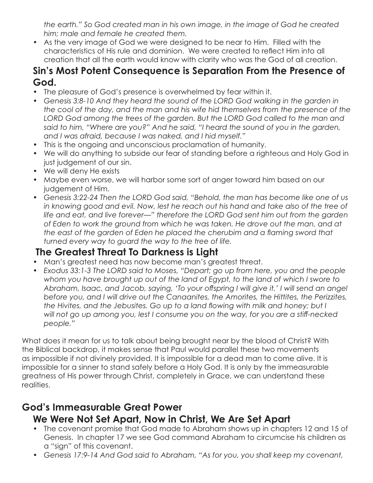*the earth." So God created man in his own image, in the image of God he created him; male and female he created them.* 

• As the very image of God we were designed to be near to Him. Filled with the characteristics of His rule and dominion. We were created to reflect Him into all creation that all the earth would know with clarity who was the God of all creation.

#### **Sin's Most Potent Consequence is Separation From the Presence of God.**

- The pleasure of God's presence is overwhelmed by fear within it.
- Genesis 3:8-10 And they heard the sound of the LORD God walking in the garden in *the cool of the day, and the man and his wife hid themselves from the presence of the*  LORD God among the trees of the garden. But the LORD God called to the man and *said to him, "Where are you?" And he said, "I heard the sound of you in the garden, and I was afraid, because I was naked, and I hid myself."*
- This is the ongoing and unconscious proclamation of humanity.
- We will do anything to subside our fear of standing before a righteous and Holy God in just judgement of our sin.
- We will deny He exists
- Maybe even worse, we will harbor some sort of anger toward him based on our judgement of Him.
- *Genesis 3:22-24 Then the LORD God said, "Behold, the man has become like one of us*  in knowing good and evil. Now, lest he reach out his hand and take also of the tree of *life and eat, and live forever—" therefore the LORD God sent him out from the garden of Eden to work the ground from which he was taken. He drove out the man, and at the east of the garden of Eden he placed the cherubim and a flaming sword that turned every way to guard the way to the tree of life.*

#### **The Greatest Threat To Darkness is Light**

- Man's greatest need has now become man's greatest threat.
- *Exodus 33:1-3 The LORD said to Moses, "Depart; go up from here, you and the people whom you have brought up out of the land of Egypt, to the land of which I swore to Abraham, Isaac, and Jacob, saying, 'To your offspring I will give it.' I will send an angel before you, and I will drive out the Canaanites, the Amorites, the Hittites, the Perizzites, the Hivites, and the Jebusites. Go up to a land flowing with milk and honey; but I will not go up among you, lest I consume you on the way, for you are a stiff-necked people."*

What does it mean for us to talk about being brought near by the blood of Christ? With the Biblical backdrop, it makes sense that Paul would parallel these two movements as impossible if not divinely provided. It is impossible for a dead man to come alive. It is impossible for a sinner to stand safely before a Holy God. It is only by the immeasurable greatness of His power through Christ, completely in Grace, we can understand these realities.

#### **God's Immeasurable Great Power We Were Not Set Apart, Now in Christ, We Are Set Apart**

- The covenant promise that God made to Abraham shows up in chapters 12 and 15 of Genesis. In chapter 17 we see God command Abraham to circumcise his children as a "sign" of this covenant.
- *Genesis 17:9-14 And God said to Abraham, "As for you, you shall keep my covenant,*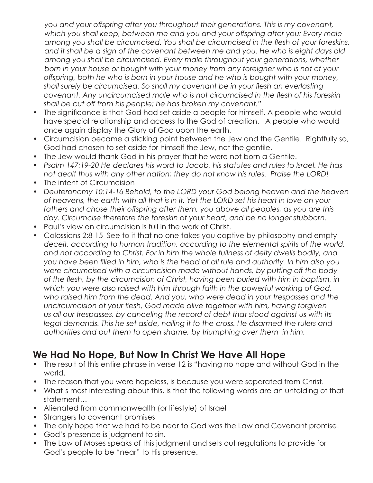*you and your offspring after you throughout their generations. This is my covenant, which you shall keep, between me and you and your offspring after you: Every male among you shall be circumcised. You shall be circumcised in the flesh of your foreskins, and it shall be a sign of the covenant between me and you. He who is eight days old among you shall be circumcised. Every male throughout your generations, whether born in your house or bought with your money from any foreigner who is not of your offspring, both he who is born in your house and he who is bought with your money, shall surely be circumcised. So shall my covenant be in your flesh an everlasting covenant. Any uncircumcised male who is not circumcised in the flesh of his foreskin shall be cut off from his people; he has broken my covenant."* 

- The significance is that God had set aside a people for himself. A people who would have special relationship and access to the God of creation. A people who would once again display the Glory of God upon the earth.
- Circumcision became a sticking point between the Jew and the Gentile. Rightfully so, God had chosen to set aside for himself the Jew, not the gentile.
- The Jew would thank God in his prayer that he were not born a Gentile.
- *Psalm 147:19-20 He declares his word to Jacob, his statutes and rules to Israel. He has not dealt thus with any other nation; they do not know his rules. Praise the LORD!*
- The intent of Circumcision
- *Deuteronomy 10:14-16 Behold, to the LORD your God belong heaven and the heaven of heavens, the earth with all that is in it. Yet the LORD set his heart in love on your fathers and chose their offspring after them, you above all peoples, as you are this*  day. Circumcise therefore the foreskin of your heart, and be no longer stubborn.
- Paul's view on circumcision is full in the work of Christ.
- Colossians 2:8-15 See to it that no one takes you captive by philosophy and empty *deceit, according to human tradition, according to the elemental spirits of the world, and not according to Christ. For in him the whole fullness of deity dwells bodily, and you have been filled in him, who is the head of all rule and authority. In him also you were circumcised with a circumcision made without hands, by putting off the body of the flesh, by the circumcision of Christ, having been buried with him in baptism, in which you were also raised with him through faith in the powerful working of God, who raised him from the dead. And you, who were dead in your trespasses and the uncircumcision of your flesh, God made alive together with him, having forgiven us all our trespasses, by canceling the record of debt that stood against us with its*  legal demands. This he set aside, nailing it to the cross. He disarmed the rulers and *authorities and put them to open shame, by triumphing over them in him.*

## **We Had No Hope, But Now In Christ We Have All Hope**

- The result of this entire phrase in verse 12 is "having no hope and without God in the world.
- The reason that you were hopeless, is because you were separated from Christ.
- What's most interesting about this, is that the following words are an unfolding of that statement…
- Alienated from commonwealth (or lifestyle) of Israel
- Strangers to covenant promises
- The only hope that we had to be near to God was the Law and Covenant promise.
- God's presence is judgment to sin.
- The Law of Moses speaks of this judgment and sets out regulations to provide for God's people to be "near" to His presence.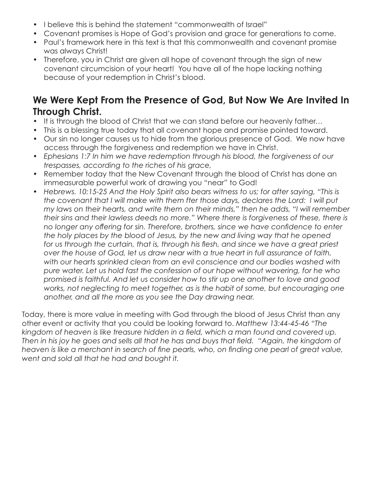- I believe this is behind the statement "commonwealth of Israel"
- Covenant promises is Hope of God's provision and grace for generations to come.
- Paul's framework here in this text is that this commonwealth and covenant promise was always Christ!
- Therefore, you in Christ are given all hope of covenant through the sign of new covenant circumcision of your heart! You have all of the hope lacking nothing because of your redemption in Christ's blood.

#### **We Were Kept From the Presence of God, But Now We Are Invited In Through Christ.**

- It is through the blood of Christ that we can stand before our heavenly father...
- This is a blessing true today that all covenant hope and promise pointed toward.
- Our sin no longer causes us to hide from the glorious presence of God. We now have access through the forgiveness and redemption we have in Christ.
- *Ephesians 1:7 In him we have redemption through his blood, the forgiveness of our trespasses, according to the riches of his grace,*
- Remember today that the New Covenant through the blood of Christ has done an immeasurable powerful work of drawing you "near" to God!
- Hebrews. 10:15-25 And the Holy Spirit also bears witness to us; for after saying, "This is *the covenant that I will make with them fter those days, declares the Lord: I will put my laws on their hearts, and write them on their minds," then he adds, "I will remember their sins and their lawless deeds no more." Where there is forgiveness of these, there is no longer any offering for sin. Therefore, brothers, since we have confidence to enter the holy places by the blood of Jesus, by the new and living way that he opened*  for us through the curtain, that is, through his flesh, and since we have a great priest *over the house of God, let us draw near with a true heart in full assurance of faith, with our hearts sprinkled clean from an evil conscience and our bodies washed with pure water. Let us hold fast the confession of our hope without wavering, for he who promised is faithful. And let us consider how to stir up one another to love and good works, not neglecting to meet together, as is the habit of some, but encouraging one another, and all the more as you see the Day drawing near.*

Today, there is more value in meeting with God through the blood of Jesus Christ than any other event or activity that you could be looking forward to. *Matthew 13:44-45-46 "The kingdom of heaven is like treasure hidden in a field, which a man found and covered up. Then in his joy he goes and sells all that he has and buys that field. "Again, the kingdom of heaven is like a merchant in search of fine pearls, who, on finding one pearl of great value, went and sold all that he had and bought it.*